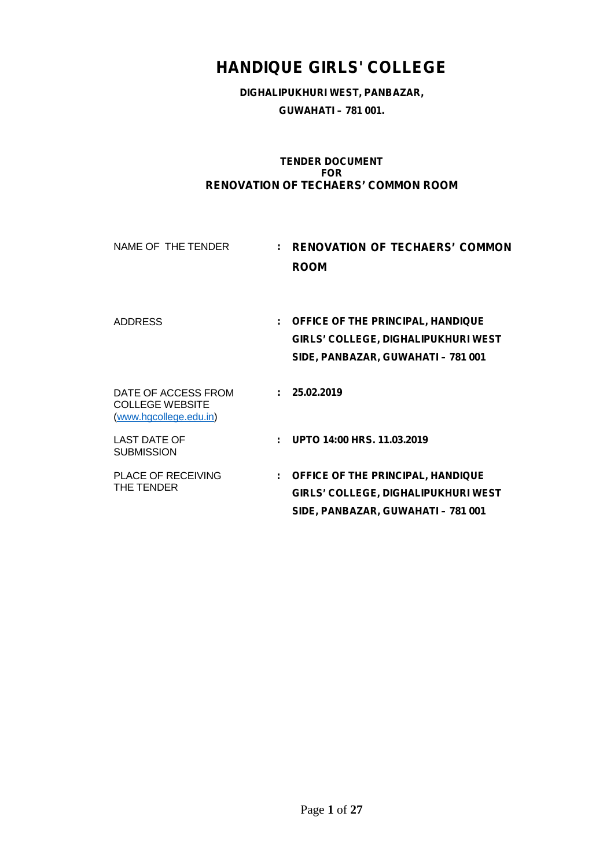# **HANDIQUE GIRLS' COLLEGE**

**DIGHALIPUKHURI WEST, PANBAZAR, GUWAHATI – 781 001.**

#### **TENDER DOCUMENT FOR RENOVATION OF TECHAERS' COMMON ROOM**

| NAME OF THE TENDER                                                      | : RENOVATION OF TECHAERS' COMMON<br><b>ROOM</b>                                                                         |
|-------------------------------------------------------------------------|-------------------------------------------------------------------------------------------------------------------------|
| <b>ADDRESS</b>                                                          | : OFFICE OF THE PRINCIPAL, HANDIQUE<br><b>GIRLS' COLLEGE, DIGHALIPUKHURI WEST</b><br>SIDE, PANBAZAR, GUWAHATI - 781 001 |
| DATE OF ACCESS FROM<br><b>COLLEGE WEBSITE</b><br>(www.hgcollege.edu.in) | : 25.02.2019                                                                                                            |
| LAST DATE OF<br><b>SUBMISSION</b>                                       | : UPTO $14:00$ HRS, $11.03.2019$                                                                                        |
| <b>PLACE OF RECEIVING</b><br>THE TENDER                                 | : OFFICE OF THE PRINCIPAL, HANDIQUE<br><b>GIRLS' COLLEGE, DIGHALIPUKHURI WEST</b><br>SIDE, PANBAZAR, GUWAHATI - 781 001 |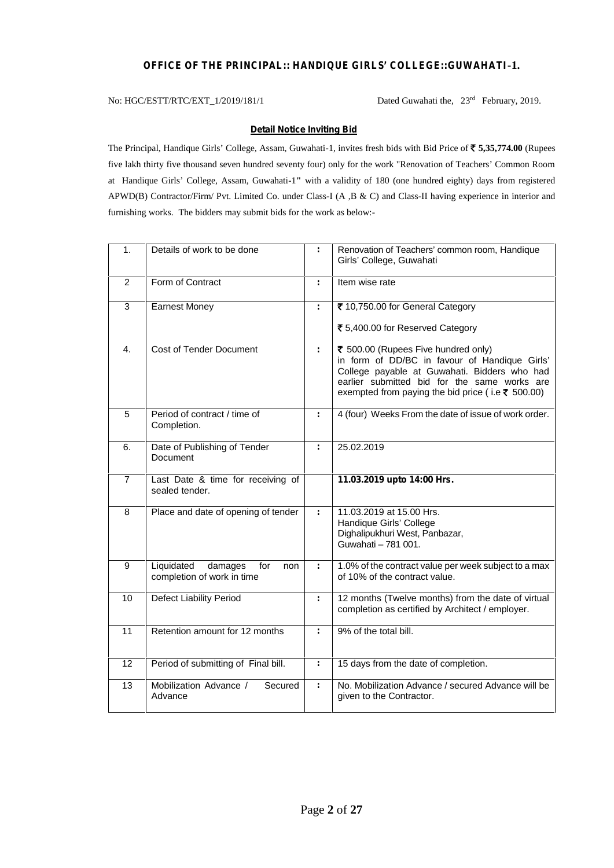### **OFFICE OF THE PRINCIPAL:: HANDIQUE GIRLS' COLLEGE::GUWAHATI-1.**

No: HGC/ESTT/RTC/EXT\_1/2019/181/1 Dated Guwahati the, 23<sup>rd</sup> February, 2019.

#### **Detail Notice Inviting Bid**

The Principal, Handique Girls' College, Assam, Guwahati-1, invites fresh bids with Bid Price of **` 5,35,774.00** (Rupees five lakh thirty five thousand seven hundred seventy four) only for the work "Renovation of Teachers' Common Room at Handique Girls' College, Assam, Guwahati-1**"** with a validity of 180 (one hundred eighty) days from registered APWD(B) Contractor/Firm/ Pvt. Limited Co. under Class-I (A ,B & C) and Class-II having experience in interior and furnishing works. The bidders may submit bids for the work as below:-

| 1.             | Details of work to be done                                        |    | Renovation of Teachers' common room, Handique<br>Girls' College, Guwahati                                                                                                                                                                 |
|----------------|-------------------------------------------------------------------|----|-------------------------------------------------------------------------------------------------------------------------------------------------------------------------------------------------------------------------------------------|
| 2              | Form of Contract                                                  | ÷  | Item wise rate                                                                                                                                                                                                                            |
| $\mathbf{3}$   | <b>Earnest Money</b>                                              | ÷  | ₹ 10,750.00 for General Category<br>₹ 5,400.00 for Reserved Category                                                                                                                                                                      |
| 4.             | <b>Cost of Tender Document</b>                                    | ÷  | ₹ 500.00 (Rupees Five hundred only)<br>in form of DD/BC in favour of Handique Girls'<br>College payable at Guwahati. Bidders who had<br>earlier submitted bid for the same works are<br>exempted from paying the bid price (i.e ₹ 500.00) |
| 5              | Period of contract / time of<br>Completion.                       | ÷. | 4 (four) Weeks From the date of issue of work order.                                                                                                                                                                                      |
| 6.             | Date of Publishing of Tender<br><b>Document</b>                   | ÷  | 25.02.2019                                                                                                                                                                                                                                |
| $\overline{7}$ | Last Date & time for receiving of<br>sealed tender.               |    | 11.03.2019 upto 14:00 Hrs.                                                                                                                                                                                                                |
| 8              | Place and date of opening of tender                               | ÷  | 11.03.2019 at 15.00 Hrs.<br>Handique Girls' College<br>Dighalipukhuri West, Panbazar,<br>Guwahati - 781 001.                                                                                                                              |
| 9              | Liquidated<br>damages<br>for<br>non<br>completion of work in time | ÷  | 1.0% of the contract value per week subject to a max<br>of 10% of the contract value.                                                                                                                                                     |
| 10             | <b>Defect Liability Period</b>                                    | ÷. | 12 months (Twelve months) from the date of virtual<br>completion as certified by Architect / employer.                                                                                                                                    |
| 11             | Retention amount for 12 months                                    | ÷  | 9% of the total bill.                                                                                                                                                                                                                     |
| 12             | Period of submitting of Final bill.                               | ÷. | 15 days from the date of completion.                                                                                                                                                                                                      |
| 13             | Mobilization Advance /<br>Secured<br>Advance                      | ÷  | No. Mobilization Advance / secured Advance will be<br>given to the Contractor.                                                                                                                                                            |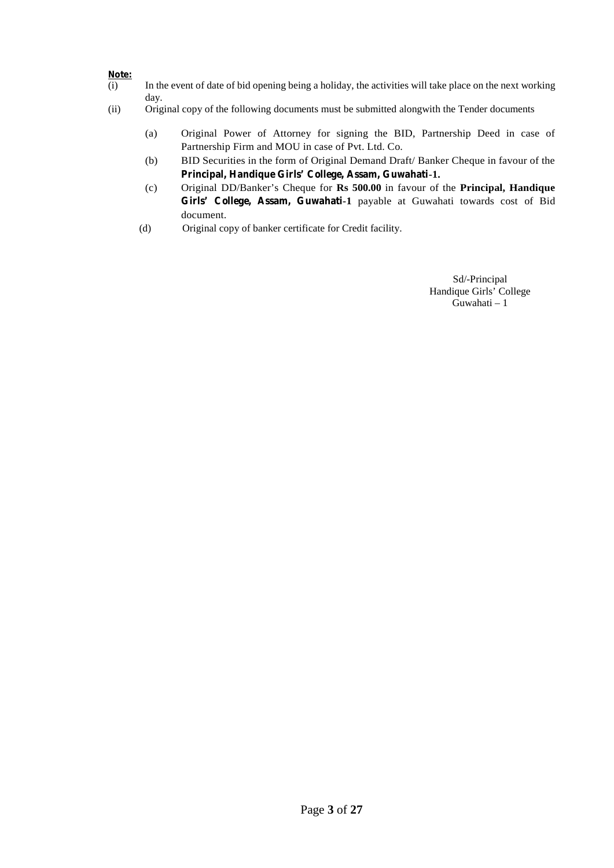# **Note:**<br>(i)

- In the event of date of bid opening being a holiday, the activities will take place on the next working day.
- (ii) Original copy of the following documents must be submitted alongwith the Tender documents
	- (a) Original Power of Attorney for signing the BID, Partnership Deed in case of Partnership Firm and MOU in case of Pvt. Ltd. Co.
	- (b) BID Securities in the form of Original Demand Draft/ Banker Cheque in favour of the **Principal, Handique Girls' College, Assam, Guwahati-1.**
	- (c) Original DD/Banker's Cheque for **Rs 500.00** in favour of the **Principal, Handique Girls' College, Assam, Guwahati-1** payable at Guwahati towards cost of Bid document.
	- (d) Original copy of banker certificate for Credit facility.

Sd/-Principal Handique Girls' College Guwahati – 1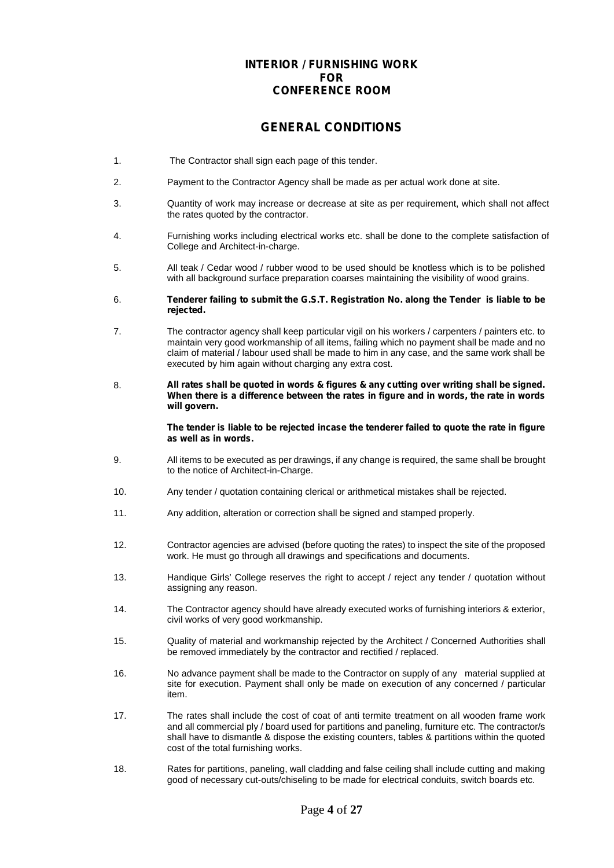### **INTERIOR / FURNISHING WORK FOR CONFERENCE ROOM**

# **GENERAL CONDITIONS**

- 1. The Contractor shall sign each page of this tender.
- 2. Payment to the Contractor Agency shall be made as per actual work done at site.
- 3. Quantity of work may increase or decrease at site as per requirement, which shall not affect the rates quoted by the contractor.
- 4. Furnishing works including electrical works etc. shall be done to the complete satisfaction of College and Architect-in-charge.
- 5. All teak / Cedar wood / rubber wood to be used should be knotless which is to be polished with all background surface preparation coarses maintaining the visibility of wood grains.
- 6. **Tenderer failing to submit the G.S.T. Registration No. along the Tender is liable to be rejected.**
- 7. The contractor agency shall keep particular vigil on his workers / carpenters / painters etc. to maintain very good workmanship of all items, failing which no payment shall be made and no claim of material / labour used shall be made to him in any case, and the same work shall be executed by him again without charging any extra cost.
- 8. **All rates shall be quoted in words & figures & any cutting over writing shall be signed. When there is a difference between the rates in figure and in words, the rate in words will govern.**

**The tender is liable to be rejected incase the tenderer failed to quote the rate in figure as well as in words.**

- 9. All items to be executed as per drawings, if any change is required, the same shall be brought to the notice of Architect-in-Charge.
- 10. Any tender / quotation containing clerical or arithmetical mistakes shall be rejected.
- 11. Any addition, alteration or correction shall be signed and stamped properly.
- 12. Contractor agencies are advised (before quoting the rates) to inspect the site of the proposed work. He must go through all drawings and specifications and documents.
- 13. Handique Girls' College reserves the right to accept / reject any tender / quotation without assigning any reason.
- 14. The Contractor agency should have already executed works of furnishing interiors & exterior, civil works of very good workmanship.
- 15. Quality of material and workmanship rejected by the Architect / Concerned Authorities shall be removed immediately by the contractor and rectified / replaced.
- 16. No advance payment shall be made to the Contractor on supply of any material supplied at site for execution. Payment shall only be made on execution of any concerned / particular item.
- 17. The rates shall include the cost of coat of anti termite treatment on all wooden frame work and all commercial ply / board used for partitions and paneling, furniture etc. The contractor/s shall have to dismantle & dispose the existing counters, tables & partitions within the quoted cost of the total furnishing works.
- 18. Rates for partitions, paneling, wall cladding and false ceiling shall include cutting and making good of necessary cut-outs/chiseling to be made for electrical conduits, switch boards etc.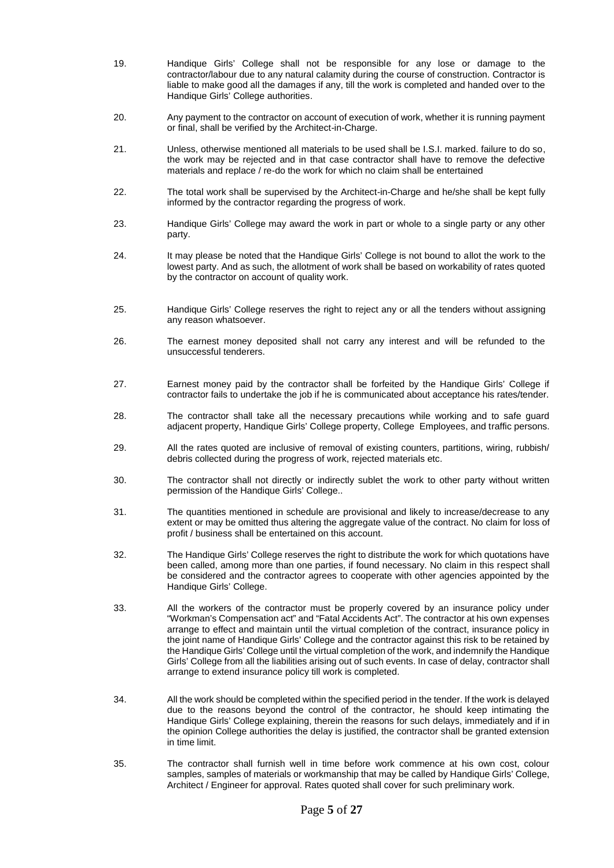- 19. Handique Girls' College shall not be responsible for any lose or damage to the contractor/labour due to any natural calamity during the course of construction. Contractor is liable to make good all the damages if any, till the work is completed and handed over to the Handique Girls' College authorities.
- 20. Any payment to the contractor on account of execution of work, whether it is running payment or final, shall be verified by the Architect-in-Charge.
- 21. Unless, otherwise mentioned all materials to be used shall be I.S.I. marked. failure to do so, the work may be rejected and in that case contractor shall have to remove the defective materials and replace / re-do the work for which no claim shall be entertained
- 22. The total work shall be supervised by the Architect-in-Charge and he/she shall be kept fully informed by the contractor regarding the progress of work.
- 23. Handique Girls' College may award the work in part or whole to a single party or any other party.
- 24. It may please be noted that the Handique Girls' College is not bound to allot the work to the lowest party. And as such, the allotment of work shall be based on workability of rates quoted by the contractor on account of quality work.
- 25. Handique Girls' College reserves the right to reject any or all the tenders without assigning any reason whatsoever.
- 26. The earnest money deposited shall not carry any interest and will be refunded to the unsuccessful tenderers.
- 27. Earnest money paid by the contractor shall be forfeited by the Handique Girls' College if contractor fails to undertake the job if he is communicated about acceptance his rates/tender.
- 28. The contractor shall take all the necessary precautions while working and to safe guard adjacent property, Handique Girls' College property, College Employees, and traffic persons.
- 29. All the rates quoted are inclusive of removal of existing counters, partitions, wiring, rubbish/ debris collected during the progress of work, rejected materials etc.
- 30. The contractor shall not directly or indirectly sublet the work to other party without written permission of the Handique Girls' College..
- 31. The quantities mentioned in schedule are provisional and likely to increase/decrease to any extent or may be omitted thus altering the aggregate value of the contract. No claim for loss of profit / business shall be entertained on this account.
- 32. The Handique Girls' College reserves the right to distribute the work for which quotations have been called, among more than one parties, if found necessary. No claim in this respect shall be considered and the contractor agrees to cooperate with other agencies appointed by the Handique Girls' College.
- 33. All the workers of the contractor must be properly covered by an insurance policy under "Workman's Compensation act" and "Fatal Accidents Act". The contractor at his own expenses arrange to effect and maintain until the virtual completion of the contract, insurance policy in the joint name of Handique Girls' College and the contractor against this risk to be retained by the Handique Girls' College until the virtual completion of the work, and indemnify the Handique Girls' College from all the liabilities arising out of such events. In case of delay, contractor shall arrange to extend insurance policy till work is completed.
- 34. All the work should be completed within the specified period in the tender. If the work is delayed due to the reasons beyond the control of the contractor, he should keep intimating the Handique Girls' College explaining, therein the reasons for such delays, immediately and if in the opinion College authorities the delay is justified, the contractor shall be granted extension in time limit.
- 35. The contractor shall furnish well in time before work commence at his own cost, colour samples, samples of materials or workmanship that may be called by Handique Girls' College, Architect / Engineer for approval. Rates quoted shall cover for such preliminary work.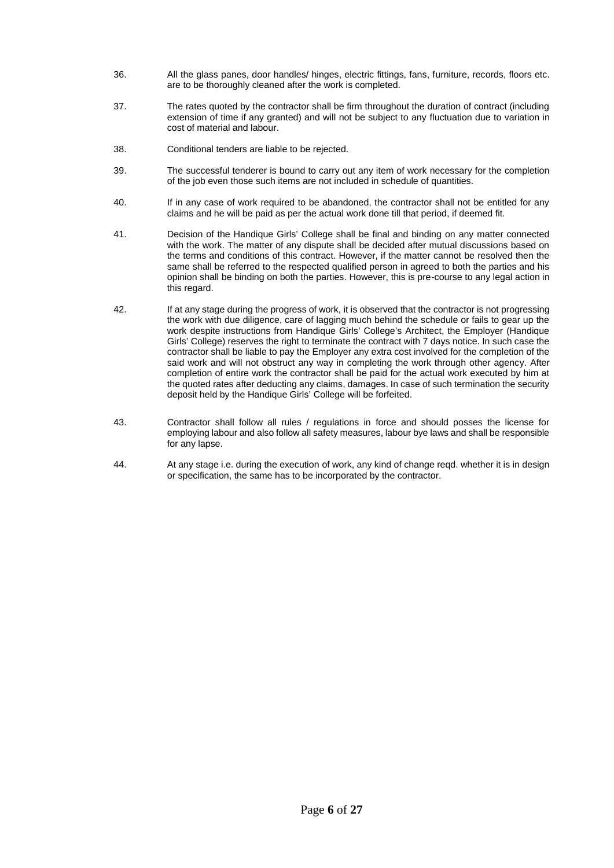- 36. All the glass panes, door handles/ hinges, electric fittings, fans, furniture, records, floors etc. are to be thoroughly cleaned after the work is completed.
- 37. The rates quoted by the contractor shall be firm throughout the duration of contract (including extension of time if any granted) and will not be subject to any fluctuation due to variation in cost of material and labour.
- 38. Conditional tenders are liable to be rejected.
- 39. The successful tenderer is bound to carry out any item of work necessary for the completion of the job even those such items are not included in schedule of quantities.
- 40. If in any case of work required to be abandoned, the contractor shall not be entitled for any claims and he will be paid as per the actual work done till that period, if deemed fit.
- 41. Decision of the Handique Girls' College shall be final and binding on any matter connected with the work. The matter of any dispute shall be decided after mutual discussions based on the terms and conditions of this contract. However, if the matter cannot be resolved then the same shall be referred to the respected qualified person in agreed to both the parties and his opinion shall be binding on both the parties. However, this is pre-course to any legal action in this regard.
- 42. If at any stage during the progress of work, it is observed that the contractor is not progressing the work with due diligence, care of lagging much behind the schedule or fails to gear up the work despite instructions from Handique Girls' College's Architect, the Employer (Handique Girls' College) reserves the right to terminate the contract with 7 days notice. In such case the contractor shall be liable to pay the Employer any extra cost involved for the completion of the said work and will not obstruct any way in completing the work through other agency. After completion of entire work the contractor shall be paid for the actual work executed by him at the quoted rates after deducting any claims, damages. In case of such termination the security deposit held by the Handique Girls' College will be forfeited.
- 43. Contractor shall follow all rules / regulations in force and should posses the license for employing labour and also follow all safety measures, labour bye laws and shall be responsible for any lapse.
- 44. At any stage i.e. during the execution of work, any kind of change reqd. whether it is in design or specification, the same has to be incorporated by the contractor.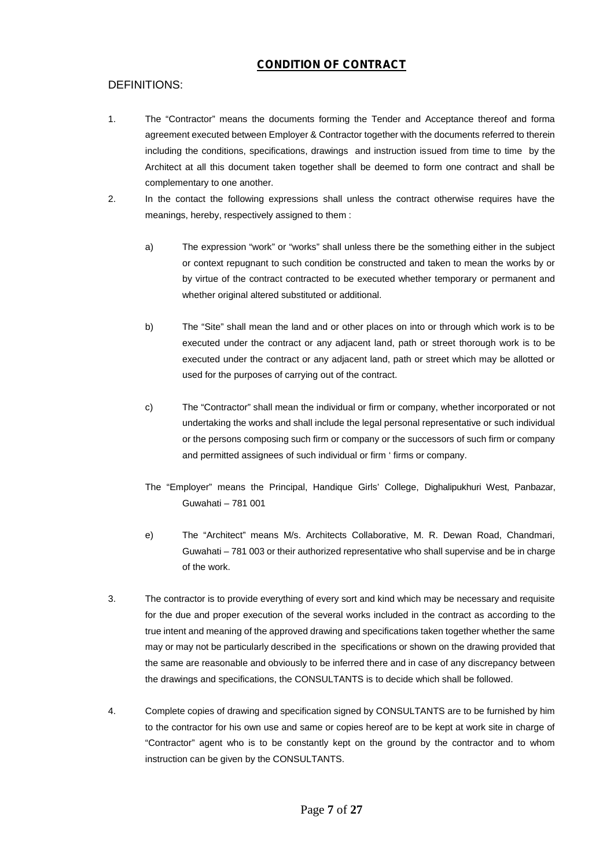# **CONDITION OF CONTRACT**

# DEFINITIONS:

- 1. The "Contractor" means the documents forming the Tender and Acceptance thereof and forma agreement executed between Employer & Contractor together with the documents referred to therein including the conditions, specifications, drawings and instruction issued from time to time by the Architect at all this document taken together shall be deemed to form one contract and shall be complementary to one another.
- 2. In the contact the following expressions shall unless the contract otherwise requires have the meanings, hereby, respectively assigned to them :
	- a) The expression "work" or "works" shall unless there be the something either in the subject or context repugnant to such condition be constructed and taken to mean the works by or by virtue of the contract contracted to be executed whether temporary or permanent and whether original altered substituted or additional.
	- b) The "Site" shall mean the land and or other places on into or through which work is to be executed under the contract or any adjacent land, path or street thorough work is to be executed under the contract or any adjacent land, path or street which may be allotted or used for the purposes of carrying out of the contract.
	- c) The "Contractor" shall mean the individual or firm or company, whether incorporated or not undertaking the works and shall include the legal personal representative or such individual or the persons composing such firm or company or the successors of such firm or company and permitted assignees of such individual or firm ' firms or company.
	- The "Employer" means the Principal, Handique Girls' College, Dighalipukhuri West, Panbazar, Guwahati – 781 001
	- e) The "Architect" means M/s. Architects Collaborative, M. R. Dewan Road, Chandmari, Guwahati – 781 003 or their authorized representative who shall supervise and be in charge of the work.
- 3. The contractor is to provide everything of every sort and kind which may be necessary and requisite for the due and proper execution of the several works included in the contract as according to the true intent and meaning of the approved drawing and specifications taken together whether the same may or may not be particularly described in the specifications or shown on the drawing provided that the same are reasonable and obviously to be inferred there and in case of any discrepancy between the drawings and specifications, the CONSULTANTS is to decide which shall be followed.
- 4. Complete copies of drawing and specification signed by CONSULTANTS are to be furnished by him to the contractor for his own use and same or copies hereof are to be kept at work site in charge of "Contractor" agent who is to be constantly kept on the ground by the contractor and to whom instruction can be given by the CONSULTANTS.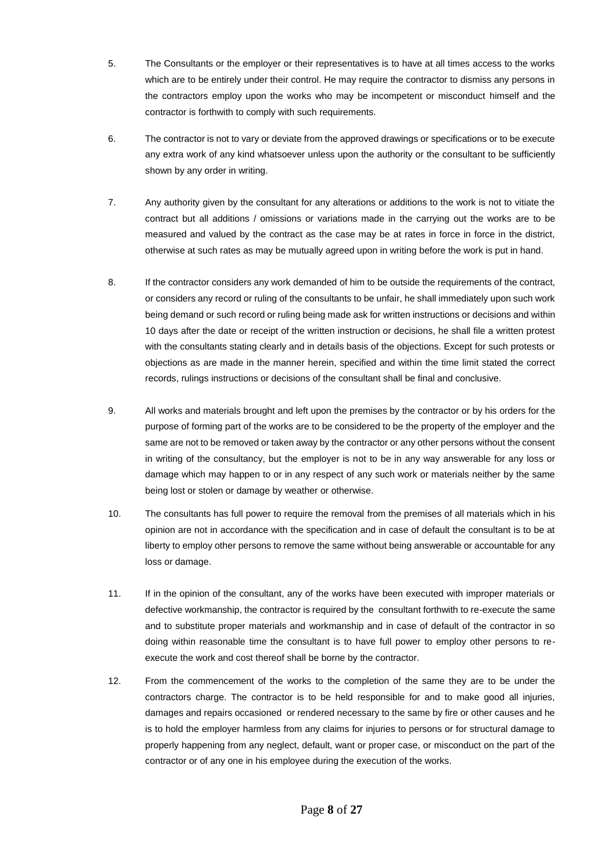- 5. The Consultants or the employer or their representatives is to have at all times access to the works which are to be entirely under their control. He may require the contractor to dismiss any persons in the contractors employ upon the works who may be incompetent or misconduct himself and the contractor is forthwith to comply with such requirements.
- 6. The contractor is not to vary or deviate from the approved drawings or specifications or to be execute any extra work of any kind whatsoever unless upon the authority or the consultant to be sufficiently shown by any order in writing.
- 7. Any authority given by the consultant for any alterations or additions to the work is not to vitiate the contract but all additions / omissions or variations made in the carrying out the works are to be measured and valued by the contract as the case may be at rates in force in force in the district, otherwise at such rates as may be mutually agreed upon in writing before the work is put in hand.
- 8. If the contractor considers any work demanded of him to be outside the requirements of the contract, or considers any record or ruling of the consultants to be unfair, he shall immediately upon such work being demand or such record or ruling being made ask for written instructions or decisions and within 10 days after the date or receipt of the written instruction or decisions, he shall file a written protest with the consultants stating clearly and in details basis of the objections. Except for such protests or objections as are made in the manner herein, specified and within the time limit stated the correct records, rulings instructions or decisions of the consultant shall be final and conclusive.
- 9. All works and materials brought and left upon the premises by the contractor or by his orders for the purpose of forming part of the works are to be considered to be the property of the employer and the same are not to be removed or taken away by the contractor or any other persons without the consent in writing of the consultancy, but the employer is not to be in any way answerable for any loss or damage which may happen to or in any respect of any such work or materials neither by the same being lost or stolen or damage by weather or otherwise.
- 10. The consultants has full power to require the removal from the premises of all materials which in his opinion are not in accordance with the specification and in case of default the consultant is to be at liberty to employ other persons to remove the same without being answerable or accountable for any loss or damage.
- 11. If in the opinion of the consultant, any of the works have been executed with improper materials or defective workmanship, the contractor is required by the consultant forthwith to re-execute the same and to substitute proper materials and workmanship and in case of default of the contractor in so doing within reasonable time the consultant is to have full power to employ other persons to re execute the work and cost thereof shall be borne by the contractor.
- 12. From the commencement of the works to the completion of the same they are to be under the contractors charge. The contractor is to be held responsible for and to make good all injuries, damages and repairs occasioned or rendered necessary to the same by fire or other causes and he is to hold the employer harmless from any claims for injuries to persons or for structural damage to properly happening from any neglect, default, want or proper case, or misconduct on the part of the contractor or of any one in his employee during the execution of the works.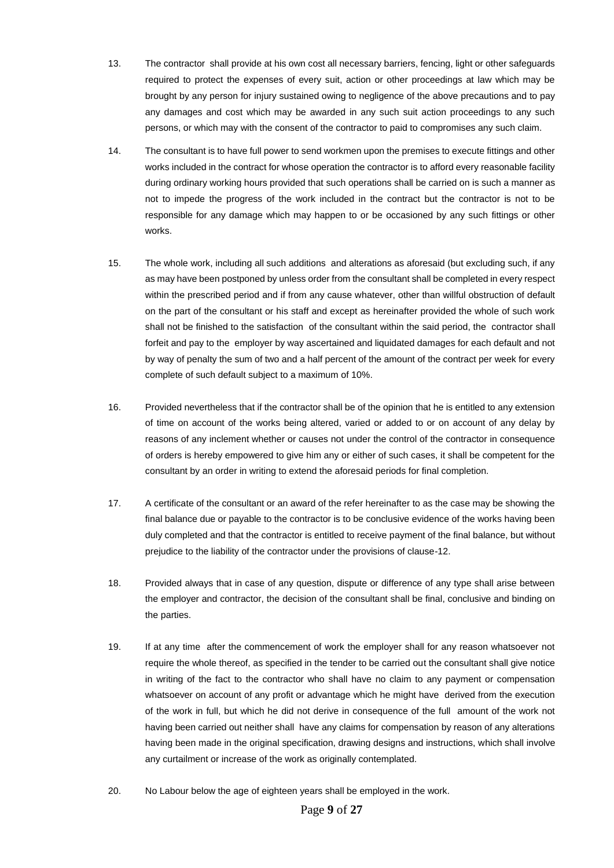- 13. The contractor shall provide at his own cost all necessary barriers, fencing, light or other safeguards required to protect the expenses of every suit, action or other proceedings at law which may be brought by any person for injury sustained owing to negligence of the above precautions and to pay any damages and cost which may be awarded in any such suit action proceedings to any such persons, or which may with the consent of the contractor to paid to compromises any such claim.
- 14. The consultant is to have full power to send workmen upon the premises to execute fittings and other works included in the contract for whose operation the contractor is to afford every reasonable facility during ordinary working hours provided that such operations shall be carried on is such a manner as not to impede the progress of the work included in the contract but the contractor is not to be responsible for any damage which may happen to or be occasioned by any such fittings or other works.
- 15. The whole work, including all such additions and alterations as aforesaid (but excluding such, if any as may have been postponed by unless order from the consultant shall be completed in every respect within the prescribed period and if from any cause whatever, other than willful obstruction of default on the part of the consultant or his staff and except as hereinafter provided the whole of such work shall not be finished to the satisfaction of the consultant within the said period, the contractor shall forfeit and pay to the employer by way ascertained and liquidated damages for each default and not by way of penalty the sum of two and a half percent of the amount of the contract per week for every complete of such default subject to a maximum of 10%.
- 16. Provided nevertheless that if the contractor shall be of the opinion that he is entitled to any extension of time on account of the works being altered, varied or added to or on account of any delay by reasons of any inclement whether or causes not under the control of the contractor in consequence of orders is hereby empowered to give him any or either of such cases, it shall be competent for the consultant by an order in writing to extend the aforesaid periods for final completion.
- 17. A certificate of the consultant or an award of the refer hereinafter to as the case may be showing the final balance due or payable to the contractor is to be conclusive evidence of the works having been duly completed and that the contractor is entitled to receive payment of the final balance, but without prejudice to the liability of the contractor under the provisions of clause-12.
- 18. Provided always that in case of any question, dispute or difference of any type shall arise between the employer and contractor, the decision of the consultant shall be final, conclusive and binding on the parties.
- 19. If at any time after the commencement of work the employer shall for any reason whatsoever not require the whole thereof, as specified in the tender to be carried out the consultant shall give notice in writing of the fact to the contractor who shall have no claim to any payment or compensation whatsoever on account of any profit or advantage which he might have derived from the execution of the work in full, but which he did not derive in consequence of the full amount of the work not having been carried out neither shall have any claims for compensation by reason of any alterations having been made in the original specification, drawing designs and instructions, which shall involve any curtailment or increase of the work as originally contemplated.
- 20. No Labour below the age of eighteen years shall be employed in the work.

### Page **9** of **27**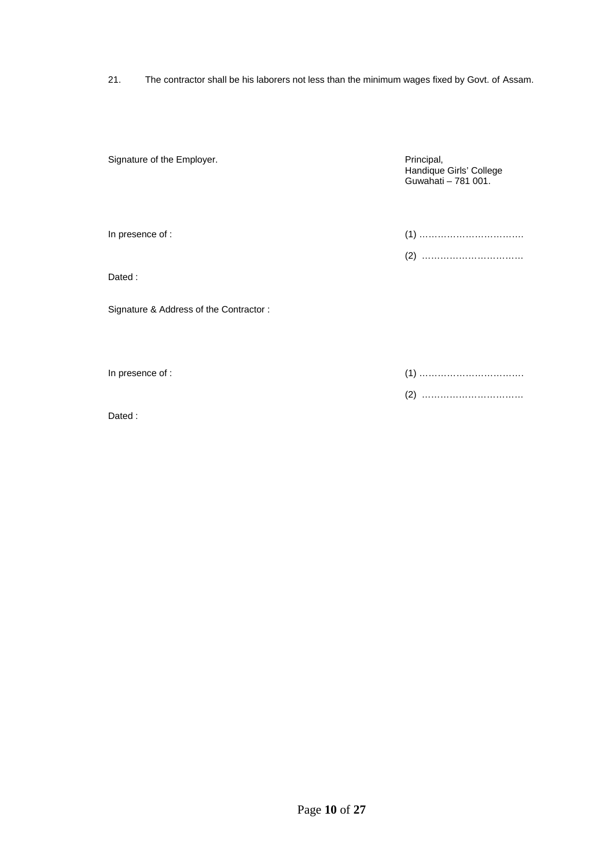21. The contractor shall be his laborers not less than the minimum wages fixed by Govt. of Assam.

| Signature of the Employer.             | Principal,<br>Handique Girls' College<br>Guwahati - 781 001. |
|----------------------------------------|--------------------------------------------------------------|
| In presence of :                       |                                                              |
|                                        |                                                              |
| Dated:                                 |                                                              |
| Signature & Address of the Contractor: |                                                              |
| In presence of :                       |                                                              |
| Dated:                                 |                                                              |
|                                        |                                                              |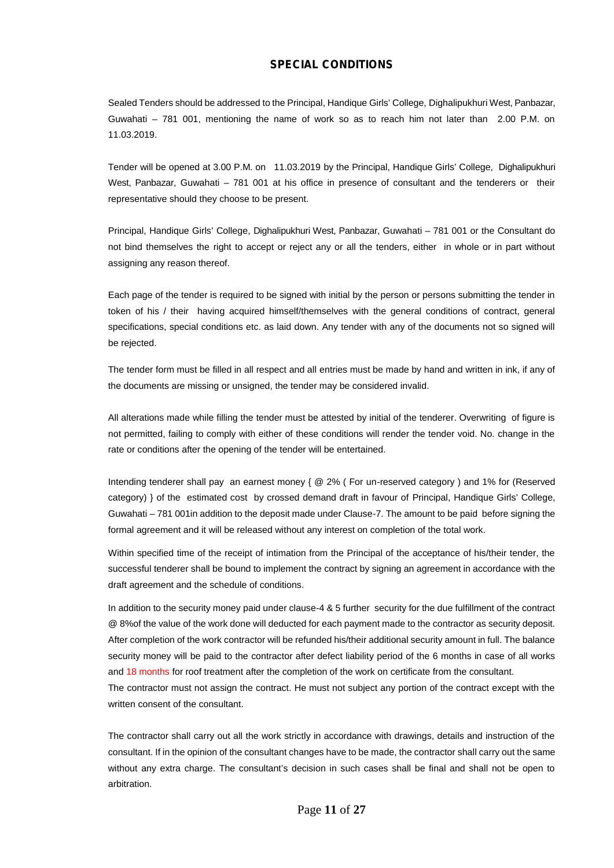## **SPECIAL CONDITIONS**

Sealed Tenders should be addressed to the Principal, Handique Girls' College, Dighalipukhuri West, Panbazar, Guwahati – 781 001, mentioning the name of work so as to reach him not later than 2.00 P.M. on 11.03.2019.

Tender will be opened at 3.00 P.M. on 11.03.2019 by the Principal, Handique Girls' College, Dighalipukhuri West, Panbazar, Guwahati - 781 001 at his office in presence of consultant and the tenderers or their representative should they choose to be present.

Principal, Handique Girls' College, Dighalipukhuri West, Panbazar, Guwahati – 781 001 or the Consultant do not bind themselves the right to accept or reject any or all the tenders, either in whole or in part without assigning any reason thereof.

Each page of the tender is required to be signed with initial by the person or persons submitting the tender in token of his / their having acquired himself/themselves with the general conditions of contract, general specifications, special conditions etc. as laid down. Any tender with any of the documents not so signed will be rejected.

The tender form must be filled in all respect and all entries must be made by hand and written in ink, if any of the documents are missing or unsigned, the tender may be considered invalid.

All alterations made while filling the tender must be attested by initial of the tenderer. Overwriting of figure is not permitted, failing to comply with either of these conditions will render the tender void. No. change in the rate or conditions after the opening of the tender will be entertained.

Intending tenderer shall pay an earnest money { @ 2% ( For un-reserved category ) and 1% for (Reserved category) } of the estimated cost by crossed demand draft in favour of Principal, Handique Girls' College, Guwahati – 781 001in addition to the deposit made under Clause-7. The amount to be paid before signing the formal agreement and it will be released without any interest on completion of the total work.

Within specified time of the receipt of intimation from the Principal of the acceptance of his/their tender, the successful tenderer shall be bound to implement the contract by signing an agreement in accordance with the draft agreement and the schedule of conditions.

In addition to the security money paid under clause-4 & 5 further security for the due fulfillment of the contract @ 8%of the value of the work done will deducted for each payment made to the contractor as security deposit. After completion of the work contractor will be refunded his/their additional security amount in full. The balance security money will be paid to the contractor after defect liability period of the 6 months in case of all works and 18 months for roof treatment after the completion of the work on certificate from the consultant.

The contractor must not assign the contract. He must not subject any portion of the contract except with the written consent of the consultant.

The contractor shall carry out all the work strictly in accordance with drawings, details and instruction of the consultant. If in the opinion of the consultant changes have to be made, the contractor shall carry out the same without any extra charge. The consultant's decision in such cases shall be final and shall not be open to arbitration.

Page **11** of **27**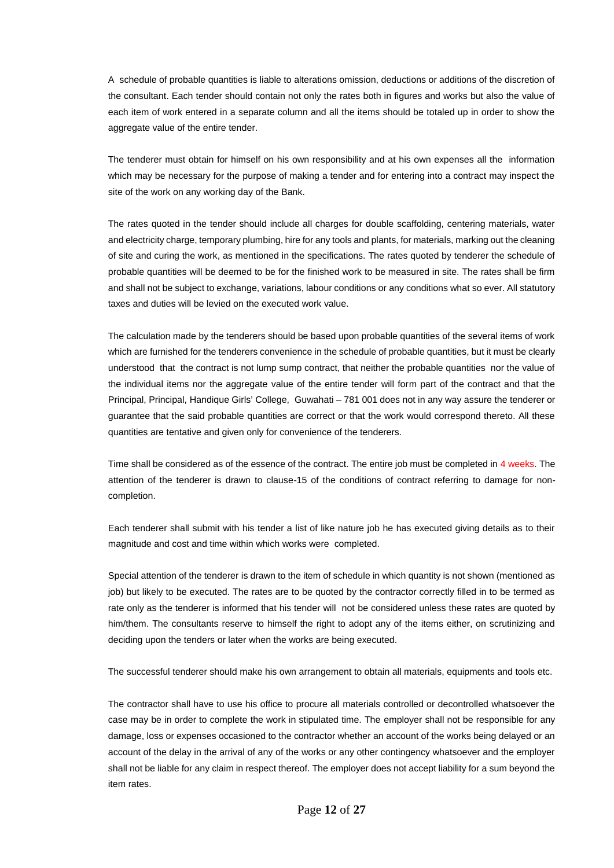A schedule of probable quantities is liable to alterations omission, deductions or additions of the discretion of the consultant. Each tender should contain not only the rates both in figures and works but also the value of each item of work entered in a separate column and all the items should be totaled up in order to show the aggregate value of the entire tender.

The tenderer must obtain for himself on his own responsibility and at his own expenses all the information which may be necessary for the purpose of making a tender and for entering into a contract may inspect the site of the work on any working day of the Bank.

The rates quoted in the tender should include all charges for double scaffolding, centering materials, water and electricity charge, temporary plumbing, hire for any tools and plants, for materials, marking out the cleaning of site and curing the work, as mentioned in the specifications. The rates quoted by tenderer the schedule of probable quantities will be deemed to be for the finished work to be measured in site. The rates shall be firm and shall not be subject to exchange, variations, labour conditions or any conditions what so ever. All statutory taxes and duties will be levied on the executed work value.

The calculation made by the tenderers should be based upon probable quantities of the several items of work which are furnished for the tenderers convenience in the schedule of probable quantities, but it must be clearly understood that the contract is not lump sump contract, that neither the probable quantities nor the value of the individual items nor the aggregate value of the entire tender will form part of the contract and that the Principal, Principal, Handique Girls' College, Guwahati – 781 001 does not in any way assure the tenderer or guarantee that the said probable quantities are correct or that the work would correspond thereto. All these quantities are tentative and given only for convenience of the tenderers.

Time shall be considered as of the essence of the contract. The entire job must be completed in 4 weeks. The attention of the tenderer is drawn to clause-15 of the conditions of contract referring to damage for non completion.

Each tenderer shall submit with his tender a list of like nature job he has executed giving details as to their magnitude and cost and time within which works were completed.

Special attention of the tenderer is drawn to the item of schedule in which quantity is not shown (mentioned as job) but likely to be executed. The rates are to be quoted by the contractor correctly filled in to be termed as rate only as the tenderer is informed that his tender will not be considered unless these rates are quoted by him/them. The consultants reserve to himself the right to adopt any of the items either, on scrutinizing and deciding upon the tenders or later when the works are being executed.

The successful tenderer should make his own arrangement to obtain all materials, equipments and tools etc.

The contractor shall have to use his office to procure all materials controlled or decontrolled whatsoever the case may be in order to complete the work in stipulated time. The employer shall not be responsible for any damage, loss or expenses occasioned to the contractor whether an account of the works being delayed or an account of the delay in the arrival of any of the works or any other contingency whatsoever and the employer shall not be liable for any claim in respect thereof. The employer does not accept liability for a sum beyond the item rates.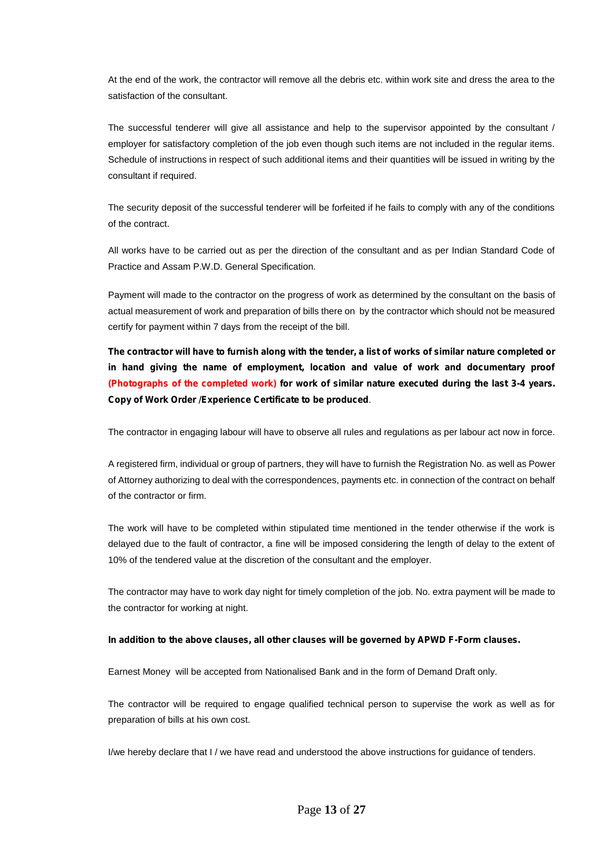At the end of the work, the contractor will remove all the debris etc. within work site and dress the area to the satisfaction of the consultant.

The successful tenderer will give all assistance and help to the supervisor appointed by the consultant / employer for satisfactory completion of the job even though such items are not included in the regular items. Schedule of instructions in respect of such additional items and their quantities will be issued in writing by the consultant if required.

The security deposit of the successful tenderer will be forfeited if he fails to comply with any of the conditions of the contract.

All works have to be carried out as per the direction of the consultant and as per Indian Standard Code of Practice and Assam P.W.D. General Specification.

Payment will made to the contractor on the progress of work as determined by the consultant on the basis of actual measurement of work and preparation of bills there on by the contractor which should not be measured certify for payment within 7 days from the receipt of the bill.

**The contractor will have to furnish along with the tender, a list of works of similar nature completed or in hand giving the name of employment, location and value of work and documentary proof (Photographs of the completed work) for work of similar nature executed during the last 3-4 years. Copy of Work Order /Experience Certificate to be produced**.

The contractor in engaging labour will have to observe all rules and regulations as per labour act now in force.

A registered firm, individual or group of partners, they will have to furnish the Registration No. as well as Power of Attorney authorizing to deal with the correspondences, payments etc. in connection of the contract on behalf of the contractor or firm.

The work will have to be completed within stipulated time mentioned in the tender otherwise if the work is delayed due to the fault of contractor, a fine will be imposed considering the length of delay to the extent of 10% of the tendered value at the discretion of the consultant and the employer.

The contractor may have to work day night for timely completion of the job. No. extra payment will be made to the contractor for working at night.

#### **In addition to the above clauses, all other clauses will be governed by APWD F-Form clauses.**

Earnest Money will be accepted from Nationalised Bank and in the form of Demand Draft only.

The contractor will be required to engage qualified technical person to supervise the work as well as for preparation of bills at his own cost.

I/we hereby declare that I / we have read and understood the above instructions for guidance of tenders.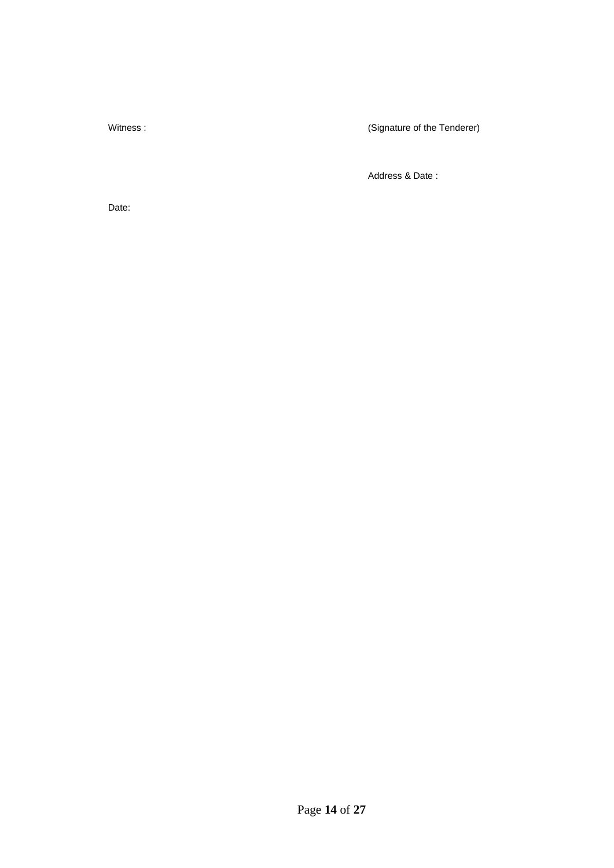Witness : **Witness** : **Witness** :

Address & Date :

Date: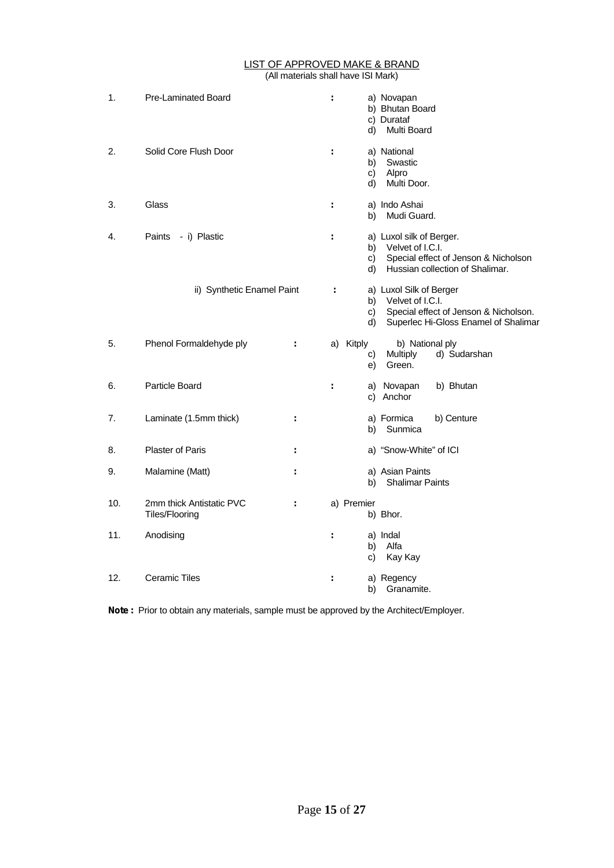#### LIST OF APPROVED MAKE & BRAND (All materials shall have ISI Mark)

| 1.  | Pre-Laminated Board                        |    | t | a) Novapan<br>b) Bhutan Board<br>c) Durataf<br>d)<br>Multi Board                                                                               |
|-----|--------------------------------------------|----|---|------------------------------------------------------------------------------------------------------------------------------------------------|
| 2.  | Solid Core Flush Door                      |    | t | a) National<br>Swastic<br>b)<br>Alpro<br>C)<br>Multi Door.<br>d)                                                                               |
| 3.  | Glass                                      |    | ÷ | a) Indo Ashai<br>Mudi Guard.<br>b)                                                                                                             |
| 4.  | - i) Plastic<br>Paints                     |    | ÷ | a) Luxol silk of Berger.<br>Velvet of I.C.I.<br>b)<br>Special effect of Jenson & Nicholson<br>C)<br>Hussian collection of Shalimar.<br>d)      |
|     | ii) Synthetic Enamel Paint                 |    | t | a) Luxol Silk of Berger<br>Velvet of I.C.I.<br>b)<br>Special effect of Jenson & Nicholson.<br>C)<br>Superlec Hi-Gloss Enamel of Shalimar<br>d) |
| 5.  | Phenol Formaldehyde ply                    | ÷. |   | a) Kitply<br>b) National ply<br><b>Multiply</b><br>d) Sudarshan<br>C)<br>Green.<br>e)                                                          |
| 6.  | Particle Board                             |    | ÷ | a) Novapan<br>b) Bhutan<br>c) Anchor                                                                                                           |
| 7.  | Laminate (1.5mm thick)                     | ÷  |   | a) Formica<br>b) Centure<br>Sunmica<br>b)                                                                                                      |
| 8.  | <b>Plaster of Paris</b>                    | ÷. |   | a) "Snow-White" of ICI                                                                                                                         |
| 9.  | Malamine (Matt)                            | ÷  |   | a) Asian Paints<br><b>Shalimar Paints</b><br>b)                                                                                                |
| 10. | 2mm thick Antistatic PVC<br>Tiles/Flooring | ÷. |   | a) Premier<br>b) Bhor.                                                                                                                         |
| 11. | Anodising                                  |    | ÷ | a) Indal<br>Alfa<br>b)<br>Kay Kay<br>C)                                                                                                        |
| 12. | <b>Ceramic Tiles</b>                       |    | ÷ | a) Regency<br>Granamite.<br>b)                                                                                                                 |

**Note :** Prior to obtain any materials, sample must be approved by the Architect/Employer.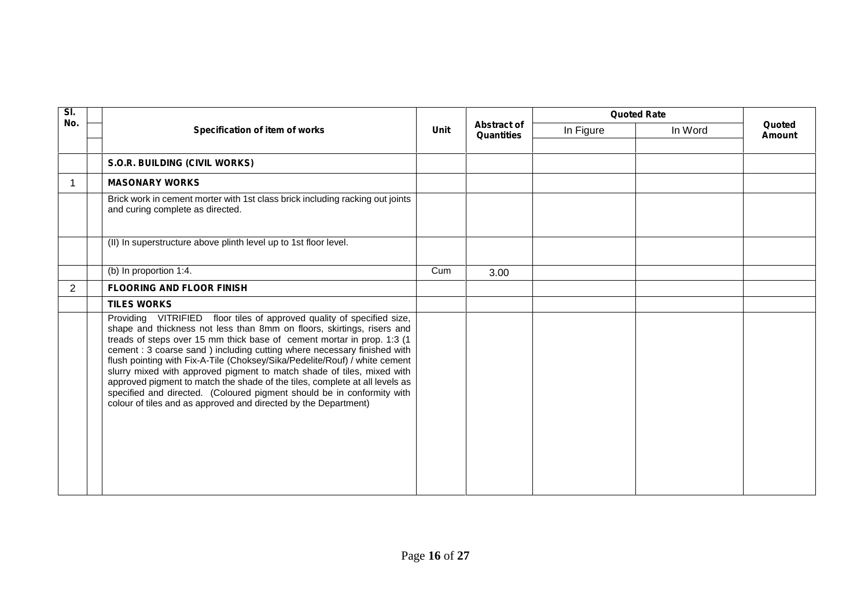| SI. |                                                                                                                                                                                                                                                                                                                                                                                                                                                                                                                                                                                                                                                                                            |      |                                  | <b>Quoted Rate</b> |         |                         |
|-----|--------------------------------------------------------------------------------------------------------------------------------------------------------------------------------------------------------------------------------------------------------------------------------------------------------------------------------------------------------------------------------------------------------------------------------------------------------------------------------------------------------------------------------------------------------------------------------------------------------------------------------------------------------------------------------------------|------|----------------------------------|--------------------|---------|-------------------------|
| No. | Specification of item of works                                                                                                                                                                                                                                                                                                                                                                                                                                                                                                                                                                                                                                                             | Unit | <b>Abstract of</b><br>Quantities | In Figure          | In Word | Quoted<br><b>Amount</b> |
|     | S.O.R. BUILDING (CIVIL WORKS)                                                                                                                                                                                                                                                                                                                                                                                                                                                                                                                                                                                                                                                              |      |                                  |                    |         |                         |
|     | <b>MASONARY WORKS</b>                                                                                                                                                                                                                                                                                                                                                                                                                                                                                                                                                                                                                                                                      |      |                                  |                    |         |                         |
|     | Brick work in cement morter with 1st class brick including racking out joints<br>and curing complete as directed.                                                                                                                                                                                                                                                                                                                                                                                                                                                                                                                                                                          |      |                                  |                    |         |                         |
|     | (II) In superstructure above plinth level up to 1st floor level.                                                                                                                                                                                                                                                                                                                                                                                                                                                                                                                                                                                                                           |      |                                  |                    |         |                         |
|     | (b) In proportion 1:4.                                                                                                                                                                                                                                                                                                                                                                                                                                                                                                                                                                                                                                                                     | Cum  | 3.00                             |                    |         |                         |
| 2   | <b>FLOORING AND FLOOR FINISH</b>                                                                                                                                                                                                                                                                                                                                                                                                                                                                                                                                                                                                                                                           |      |                                  |                    |         |                         |
|     | <b>TILES WORKS</b>                                                                                                                                                                                                                                                                                                                                                                                                                                                                                                                                                                                                                                                                         |      |                                  |                    |         |                         |
|     | Providing VITRIFIED floor tiles of approved quality of specified size,<br>shape and thickness not less than 8mm on floors, skirtings, risers and<br>treads of steps over 15 mm thick base of cement mortar in prop. 1:3 (1<br>cement : 3 coarse sand ) including cutting where necessary finished with<br>flush pointing with Fix-A-Tile (Choksey/Sika/Pedelite/Rouf) / white cement<br>slurry mixed with approved pigment to match shade of tiles, mixed with<br>approved pigment to match the shade of the tiles, complete at all levels as<br>specified and directed. (Coloured pigment should be in conformity with<br>colour of tiles and as approved and directed by the Department) |      |                                  |                    |         |                         |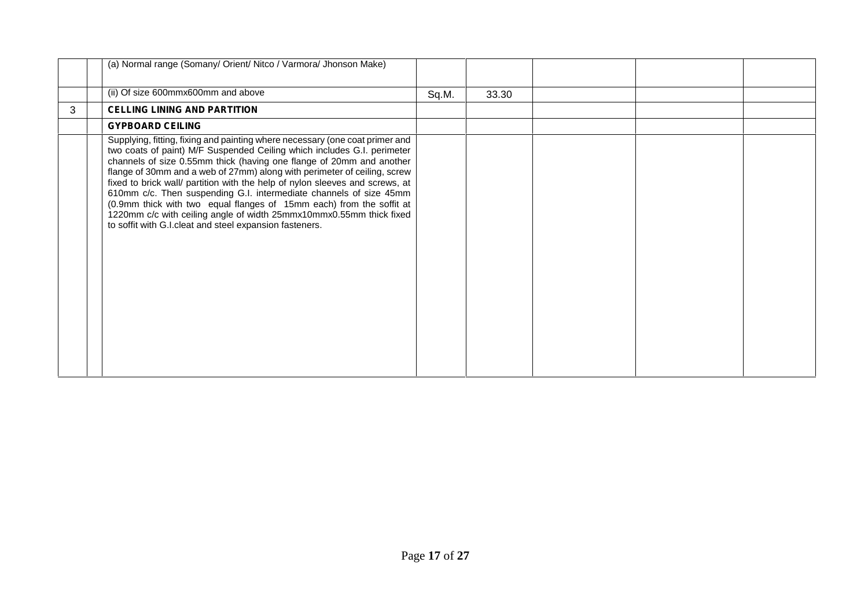|   | (a) Normal range (Somany/ Orient/ Nitco / Varmora/ Jhonson Make)                                                                                                                                                                                                                                                                                                                                                                                                                                                                                                                                                                                                            |       |       |  |  |
|---|-----------------------------------------------------------------------------------------------------------------------------------------------------------------------------------------------------------------------------------------------------------------------------------------------------------------------------------------------------------------------------------------------------------------------------------------------------------------------------------------------------------------------------------------------------------------------------------------------------------------------------------------------------------------------------|-------|-------|--|--|
|   | (ii) Of size 600mmx600mm and above                                                                                                                                                                                                                                                                                                                                                                                                                                                                                                                                                                                                                                          | Sq.M. | 33.30 |  |  |
| 3 | <b>CELLING LINING AND PARTITION</b>                                                                                                                                                                                                                                                                                                                                                                                                                                                                                                                                                                                                                                         |       |       |  |  |
|   | <b>GYPBOARD CEILING</b>                                                                                                                                                                                                                                                                                                                                                                                                                                                                                                                                                                                                                                                     |       |       |  |  |
|   | Supplying, fitting, fixing and painting where necessary (one coat primer and<br>two coats of paint) M/F Suspended Ceiling which includes G.I. perimeter<br>channels of size 0.55mm thick (having one flange of 20mm and another<br>flange of 30mm and a web of 27mm) along with perimeter of ceiling, screw<br>fixed to brick wall/ partition with the help of nylon sleeves and screws, at<br>610mm c/c. Then suspending G.I. intermediate channels of size 45mm<br>(0.9mm thick with two equal flanges of 15mm each) from the soffit at<br>1220mm c/c with ceiling angle of width 25mmx10mmx0.55mm thick fixed<br>to soffit with G.I.cleat and steel expansion fasteners. |       |       |  |  |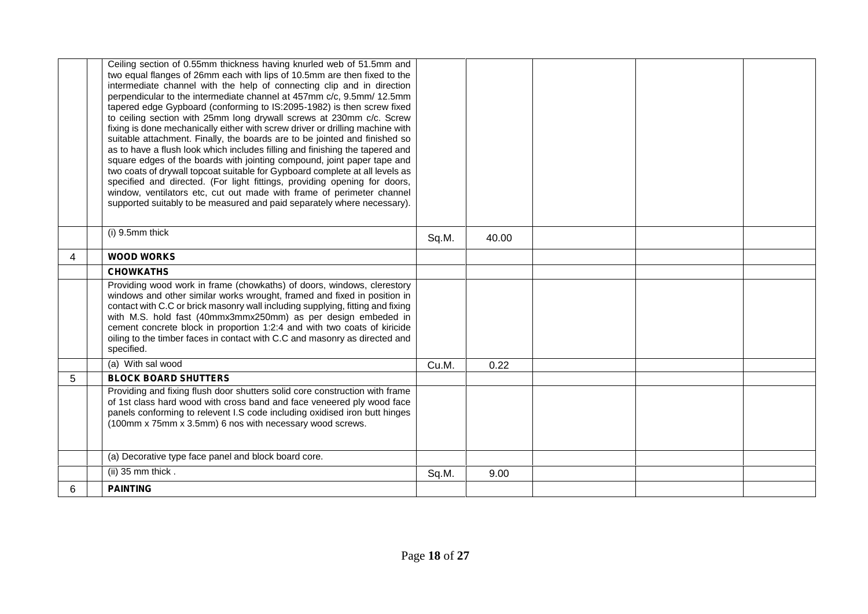|   | Ceiling section of 0.55mm thickness having knurled web of 51.5mm and<br>two equal flanges of 26mm each with lips of 10.5mm are then fixed to the<br>intermediate channel with the help of connecting clip and in direction<br>perpendicular to the intermediate channel at 457mm c/c, 9.5mm/ 12.5mm<br>tapered edge Gypboard (conforming to IS:2095-1982) is then screw fixed<br>to ceiling section with 25mm long drywall screws at 230mm c/c. Screw<br>fixing is done mechanically either with screw driver or drilling machine with<br>suitable attachment. Finally, the boards are to be jointed and finished so<br>as to have a flush look which includes filling and finishing the tapered and<br>square edges of the boards with jointing compound, joint paper tape and<br>two coats of drywall topcoat suitable for Gypboard complete at all levels as<br>specified and directed. (For light fittings, providing opening for doors,<br>window, ventilators etc, cut out made with frame of perimeter channel<br>supported suitably to be measured and paid separately where necessary). |       |       |  |  |
|---|--------------------------------------------------------------------------------------------------------------------------------------------------------------------------------------------------------------------------------------------------------------------------------------------------------------------------------------------------------------------------------------------------------------------------------------------------------------------------------------------------------------------------------------------------------------------------------------------------------------------------------------------------------------------------------------------------------------------------------------------------------------------------------------------------------------------------------------------------------------------------------------------------------------------------------------------------------------------------------------------------------------------------------------------------------------------------------------------------|-------|-------|--|--|
|   | (i) 9.5mm thick                                                                                                                                                                                                                                                                                                                                                                                                                                                                                                                                                                                                                                                                                                                                                                                                                                                                                                                                                                                                                                                                                  | Sq.M. | 40.00 |  |  |
| 4 | <b>WOOD WORKS</b>                                                                                                                                                                                                                                                                                                                                                                                                                                                                                                                                                                                                                                                                                                                                                                                                                                                                                                                                                                                                                                                                                |       |       |  |  |
|   | <b>CHOWKATHS</b>                                                                                                                                                                                                                                                                                                                                                                                                                                                                                                                                                                                                                                                                                                                                                                                                                                                                                                                                                                                                                                                                                 |       |       |  |  |
|   | Providing wood work in frame (chowkaths) of doors, windows, clerestory<br>windows and other similar works wrought, framed and fixed in position in<br>contact with C.C or brick masonry wall including supplying, fitting and fixing<br>with M.S. hold fast (40mmx3mmx250mm) as per design embeded in<br>cement concrete block in proportion 1:2:4 and with two coats of kiricide<br>oiling to the timber faces in contact with C.C and masonry as directed and<br>specified.                                                                                                                                                                                                                                                                                                                                                                                                                                                                                                                                                                                                                    |       |       |  |  |
|   | (a) With sal wood                                                                                                                                                                                                                                                                                                                                                                                                                                                                                                                                                                                                                                                                                                                                                                                                                                                                                                                                                                                                                                                                                | Cu.M. | 0.22  |  |  |
| 5 | <b>BLOCK BOARD SHUTTERS</b>                                                                                                                                                                                                                                                                                                                                                                                                                                                                                                                                                                                                                                                                                                                                                                                                                                                                                                                                                                                                                                                                      |       |       |  |  |
|   | Providing and fixing flush door shutters solid core construction with frame<br>of 1st class hard wood with cross band and face veneered ply wood face<br>panels conforming to relevent I.S code including oxidised iron butt hinges<br>(100mm x 75mm x 3.5mm) 6 nos with necessary wood screws.                                                                                                                                                                                                                                                                                                                                                                                                                                                                                                                                                                                                                                                                                                                                                                                                  |       |       |  |  |
|   | (a) Decorative type face panel and block board core.                                                                                                                                                                                                                                                                                                                                                                                                                                                                                                                                                                                                                                                                                                                                                                                                                                                                                                                                                                                                                                             |       |       |  |  |
|   | (ii) $35 \text{ mm}$ thick.                                                                                                                                                                                                                                                                                                                                                                                                                                                                                                                                                                                                                                                                                                                                                                                                                                                                                                                                                                                                                                                                      | Sq.M. | 9.00  |  |  |
| 6 | <b>PAINTING</b>                                                                                                                                                                                                                                                                                                                                                                                                                                                                                                                                                                                                                                                                                                                                                                                                                                                                                                                                                                                                                                                                                  |       |       |  |  |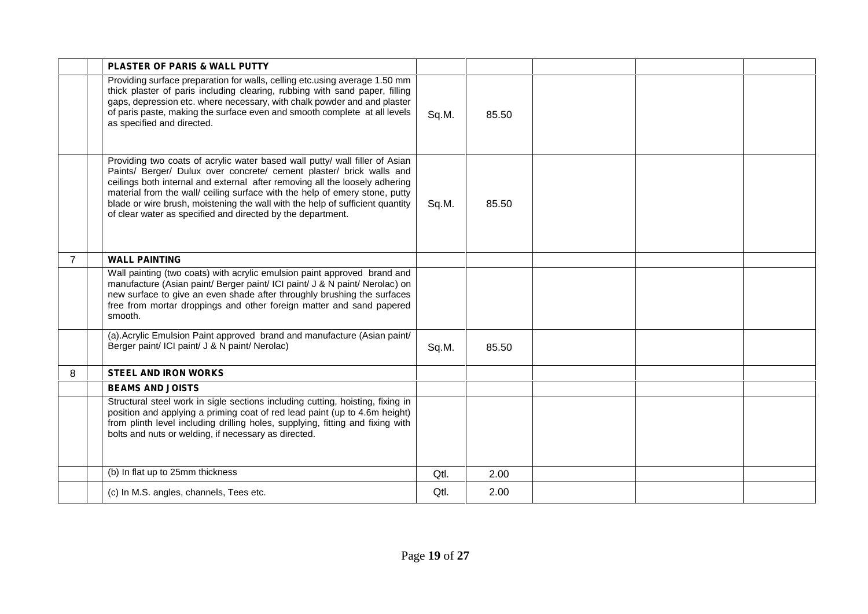|                | <b>PLASTER OF PARIS &amp; WALL PUTTY</b>                                                                                                                                                                                                                                                                                                                                                                                                                          |       |       |  |  |
|----------------|-------------------------------------------------------------------------------------------------------------------------------------------------------------------------------------------------------------------------------------------------------------------------------------------------------------------------------------------------------------------------------------------------------------------------------------------------------------------|-------|-------|--|--|
|                | Providing surface preparation for walls, celling etc.using average 1.50 mm<br>thick plaster of paris including clearing, rubbing with sand paper, filling<br>gaps, depression etc. where necessary, with chalk powder and and plaster<br>of paris paste, making the surface even and smooth complete at all levels<br>as specified and directed.                                                                                                                  | Sq.M. | 85.50 |  |  |
|                | Providing two coats of acrylic water based wall putty/ wall filler of Asian<br>Paints/ Berger/ Dulux over concrete/ cement plaster/ brick walls and<br>ceilings both internal and external after removing all the loosely adhering<br>material from the wall/ ceiling surface with the help of emery stone, putty<br>blade or wire brush, moistening the wall with the help of sufficient quantity<br>of clear water as specified and directed by the department. | Sq.M. | 85.50 |  |  |
| $\overline{7}$ | <b>WALL PAINTING</b>                                                                                                                                                                                                                                                                                                                                                                                                                                              |       |       |  |  |
|                | Wall painting (two coats) with acrylic emulsion paint approved brand and<br>manufacture (Asian paint/ Berger paint/ ICI paint/ J & N paint/ Nerolac) on<br>new surface to give an even shade after throughly brushing the surfaces<br>free from mortar droppings and other foreign matter and sand papered<br>smooth.                                                                                                                                             |       |       |  |  |
|                | (a). Acrylic Emulsion Paint approved brand and manufacture (Asian paint/<br>Berger paint/ ICI paint/ J & N paint/ Nerolac)                                                                                                                                                                                                                                                                                                                                        | Sq.M. | 85.50 |  |  |
| 8              | <b>STEEL AND IRON WORKS</b>                                                                                                                                                                                                                                                                                                                                                                                                                                       |       |       |  |  |
|                | <b>BEAMS AND JOISTS</b>                                                                                                                                                                                                                                                                                                                                                                                                                                           |       |       |  |  |
|                | Structural steel work in sigle sections including cutting, hoisting, fixing in<br>position and applying a priming coat of red lead paint (up to 4.6m height)<br>from plinth level including drilling holes, supplying, fitting and fixing with<br>bolts and nuts or welding, if necessary as directed.                                                                                                                                                            |       |       |  |  |
|                | (b) In flat up to 25mm thickness                                                                                                                                                                                                                                                                                                                                                                                                                                  | Qtl.  | 2.00  |  |  |
|                | (c) In M.S. angles, channels, Tees etc.                                                                                                                                                                                                                                                                                                                                                                                                                           | Qtl.  | 2.00  |  |  |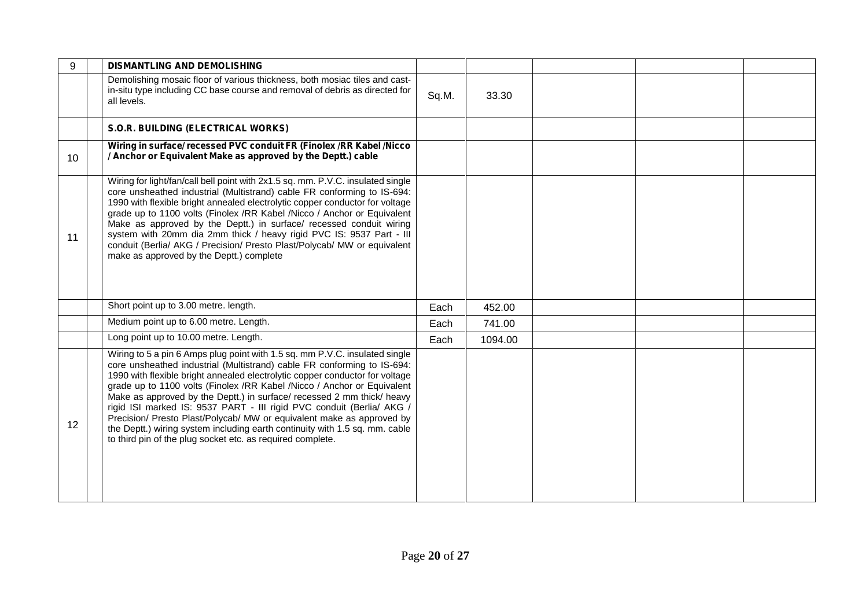| 9  | <b>DISMANTLING AND DEMOLISHING</b>                                                                                                                                                                                                                                                                                                                                                                                                                                                                                                                                                                                                                                                         |       |         |  |
|----|--------------------------------------------------------------------------------------------------------------------------------------------------------------------------------------------------------------------------------------------------------------------------------------------------------------------------------------------------------------------------------------------------------------------------------------------------------------------------------------------------------------------------------------------------------------------------------------------------------------------------------------------------------------------------------------------|-------|---------|--|
|    | Demolishing mosaic floor of various thickness, both mosiac tiles and cast-<br>in-situ type including CC base course and removal of debris as directed for<br>all levels.                                                                                                                                                                                                                                                                                                                                                                                                                                                                                                                   | Sq.M. | 33.30   |  |
|    | S.O.R. BUILDING (ELECTRICAL WORKS)                                                                                                                                                                                                                                                                                                                                                                                                                                                                                                                                                                                                                                                         |       |         |  |
| 10 | Wiring in surface/ recessed PVC conduit FR (Finolex /RR Kabel /Nicco<br>/ Anchor or Equivalent Make as approved by the Deptt.) cable                                                                                                                                                                                                                                                                                                                                                                                                                                                                                                                                                       |       |         |  |
| 11 | Wiring for light/fan/call bell point with 2x1.5 sq. mm. P.V.C. insulated single<br>core unsheathed industrial (Multistrand) cable FR conforming to IS-694:<br>1990 with flexible bright annealed electrolytic copper conductor for voltage<br>grade up to 1100 volts (Finolex /RR Kabel /Nicco / Anchor or Equivalent<br>Make as approved by the Deptt.) in surface/ recessed conduit wiring<br>system with 20mm dia 2mm thick / heavy rigid PVC IS: 9537 Part - III<br>conduit (Berlia/ AKG / Precision/ Presto Plast/Polycab/ MW or equivalent<br>make as approved by the Deptt.) complete                                                                                               |       |         |  |
|    | Short point up to 3.00 metre. length.                                                                                                                                                                                                                                                                                                                                                                                                                                                                                                                                                                                                                                                      | Each  | 452.00  |  |
|    | Medium point up to 6.00 metre. Length.                                                                                                                                                                                                                                                                                                                                                                                                                                                                                                                                                                                                                                                     | Each  | 741.00  |  |
|    | Long point up to 10.00 metre. Length.                                                                                                                                                                                                                                                                                                                                                                                                                                                                                                                                                                                                                                                      | Each  | 1094.00 |  |
| 12 | Wiring to 5 a pin 6 Amps plug point with 1.5 sq. mm P.V.C. insulated single<br>core unsheathed industrial (Multistrand) cable FR conforming to IS-694:<br>1990 with flexible bright annealed electrolytic copper conductor for voltage<br>grade up to 1100 volts (Finolex /RR Kabel /Nicco / Anchor or Equivalent<br>Make as approved by the Deptt.) in surface/ recessed 2 mm thick/ heavy<br>rigid ISI marked IS: 9537 PART - III rigid PVC conduit (Berlia/ AKG /<br>Precision/ Presto Plast/Polycab/ MW or equivalent make as approved by<br>the Deptt.) wiring system including earth continuity with 1.5 sq. mm. cable<br>to third pin of the plug socket etc. as required complete. |       |         |  |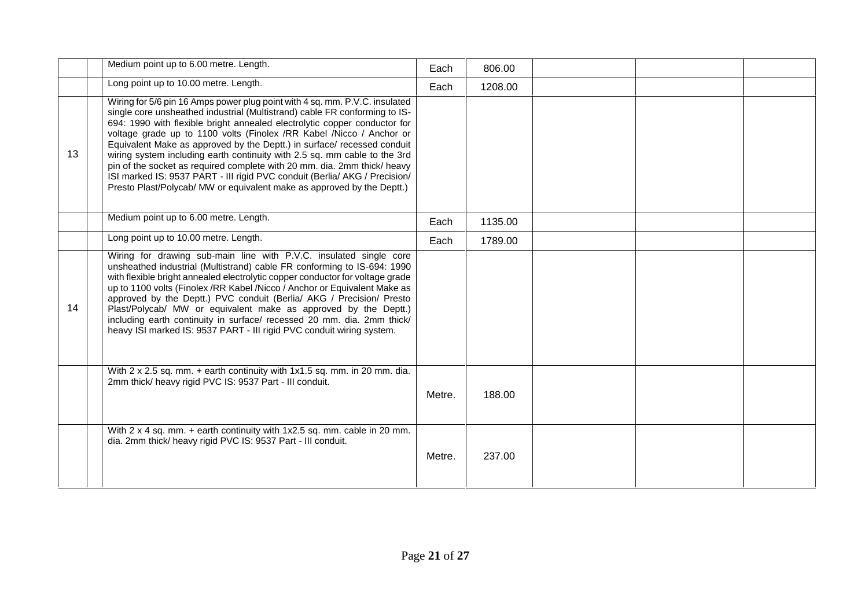|    | Medium point up to 6.00 metre. Length.                                                                                                                                                                                                                                                                                                                                                                                                                                                                                                                                                                                                                                                                     | Each   | 806.00  |  |  |
|----|------------------------------------------------------------------------------------------------------------------------------------------------------------------------------------------------------------------------------------------------------------------------------------------------------------------------------------------------------------------------------------------------------------------------------------------------------------------------------------------------------------------------------------------------------------------------------------------------------------------------------------------------------------------------------------------------------------|--------|---------|--|--|
|    | Long point up to 10.00 metre. Length.                                                                                                                                                                                                                                                                                                                                                                                                                                                                                                                                                                                                                                                                      | Each   | 1208.00 |  |  |
| 13 | Wiring for 5/6 pin 16 Amps power plug point with 4 sq. mm. P.V.C. insulated<br>single core unsheathed industrial (Multistrand) cable FR conforming to IS-<br>694: 1990 with flexible bright annealed electrolytic copper conductor for<br>voltage grade up to 1100 volts (Finolex /RR Kabel /Nicco / Anchor or<br>Equivalent Make as approved by the Deptt.) in surface/ recessed conduit<br>wiring system including earth continuity with 2.5 sq. mm cable to the 3rd<br>pin of the socket as required complete with 20 mm. dia. 2mm thick/ heavy<br>ISI marked IS: 9537 PART - III rigid PVC conduit (Berlia/ AKG / Precision/<br>Presto Plast/Polycab/ MW or equivalent make as approved by the Deptt.) |        |         |  |  |
|    | Medium point up to 6.00 metre. Length.                                                                                                                                                                                                                                                                                                                                                                                                                                                                                                                                                                                                                                                                     | Each   | 1135.00 |  |  |
|    | Long point up to 10.00 metre. Length.                                                                                                                                                                                                                                                                                                                                                                                                                                                                                                                                                                                                                                                                      | Each   | 1789.00 |  |  |
| 14 | Wiring for drawing sub-main line with P.V.C. insulated single core<br>unsheathed industrial (Multistrand) cable FR conforming to IS-694: 1990<br>with flexible bright annealed electrolytic copper conductor for voltage grade<br>up to 1100 volts (Finolex /RR Kabel /Nicco / Anchor or Equivalent Make as<br>approved by the Deptt.) PVC conduit (Berlia/ AKG / Precision/ Presto<br>Plast/Polycab/ MW or equivalent make as approved by the Deptt.)<br>including earth continuity in surface/ recessed 20 mm. dia. 2mm thick/<br>heavy ISI marked IS: 9537 PART - III rigid PVC conduit wiring system.                                                                                                  |        |         |  |  |
|    | With 2 x 2.5 sq. mm. + earth continuity with 1x1.5 sq. mm. in 20 mm. dia.<br>2mm thick/ heavy rigid PVC IS: 9537 Part - III conduit.                                                                                                                                                                                                                                                                                                                                                                                                                                                                                                                                                                       | Metre. | 188.00  |  |  |
|    | With 2 x 4 sq. mm. + earth continuity with 1x2.5 sq. mm. cable in 20 mm.<br>dia. 2mm thick/ heavy rigid PVC IS: 9537 Part - III conduit.                                                                                                                                                                                                                                                                                                                                                                                                                                                                                                                                                                   | Metre. | 237.00  |  |  |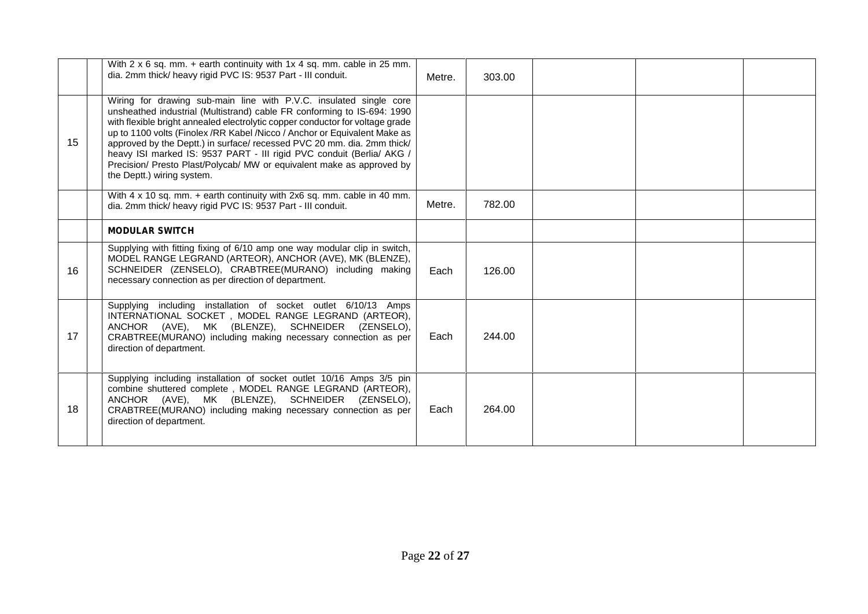|    | With 2 x 6 sq. mm. + earth continuity with 1x 4 sq. mm. cable in 25 mm.<br>dia. 2mm thick/ heavy rigid PVC IS: 9537 Part - III conduit.                                                                                                                                                                                                                                                                                                                                                                                                                                | Metre. | 303.00 |  |
|----|------------------------------------------------------------------------------------------------------------------------------------------------------------------------------------------------------------------------------------------------------------------------------------------------------------------------------------------------------------------------------------------------------------------------------------------------------------------------------------------------------------------------------------------------------------------------|--------|--------|--|
| 15 | Wiring for drawing sub-main line with P.V.C. insulated single core<br>unsheathed industrial (Multistrand) cable FR conforming to IS-694: 1990<br>with flexible bright annealed electrolytic copper conductor for voltage grade<br>up to 1100 volts (Finolex /RR Kabel /Nicco / Anchor or Equivalent Make as<br>approved by the Deptt.) in surface/ recessed PVC 20 mm. dia. 2mm thick/<br>heavy ISI marked IS: 9537 PART - III rigid PVC conduit (Berlia/ AKG /<br>Precision/ Presto Plast/Polycab/ MW or equivalent make as approved by<br>the Deptt.) wiring system. |        |        |  |
|    | With 4 x 10 sq. mm. + earth continuity with 2x6 sq. mm. cable in 40 mm.<br>dia. 2mm thick/ heavy rigid PVC IS: 9537 Part - III conduit.                                                                                                                                                                                                                                                                                                                                                                                                                                | Metre. | 782.00 |  |
|    | <b>MODULAR SWITCH</b>                                                                                                                                                                                                                                                                                                                                                                                                                                                                                                                                                  |        |        |  |
| 16 | Supplying with fitting fixing of 6/10 amp one way modular clip in switch,<br>MODEL RANGE LEGRAND (ARTEOR), ANCHOR (AVE), MK (BLENZE),<br>SCHNEIDER (ZENSELO), CRABTREE(MURANO) including making<br>necessary connection as per direction of department.                                                                                                                                                                                                                                                                                                                | Each   | 126.00 |  |
| 17 | Supplying including installation of socket outlet 6/10/13 Amps<br>INTERNATIONAL SOCKET, MODEL RANGE LEGRAND (ARTEOR),<br>ANCHOR (AVE), MK (BLENZE), SCHNEIDER (ZENSELO),<br>CRABTREE(MURANO) including making necessary connection as per<br>direction of department.                                                                                                                                                                                                                                                                                                  | Each   | 244.00 |  |
| 18 | Supplying including installation of socket outlet 10/16 Amps 3/5 pin<br>combine shuttered complete, MODEL RANGE LEGRAND (ARTEOR),<br>ANCHOR (AVE), MK (BLENZE), SCHNEIDER (ZENSELO),<br>CRABTREE(MURANO) including making necessary connection as per<br>direction of department.                                                                                                                                                                                                                                                                                      | Each   | 264.00 |  |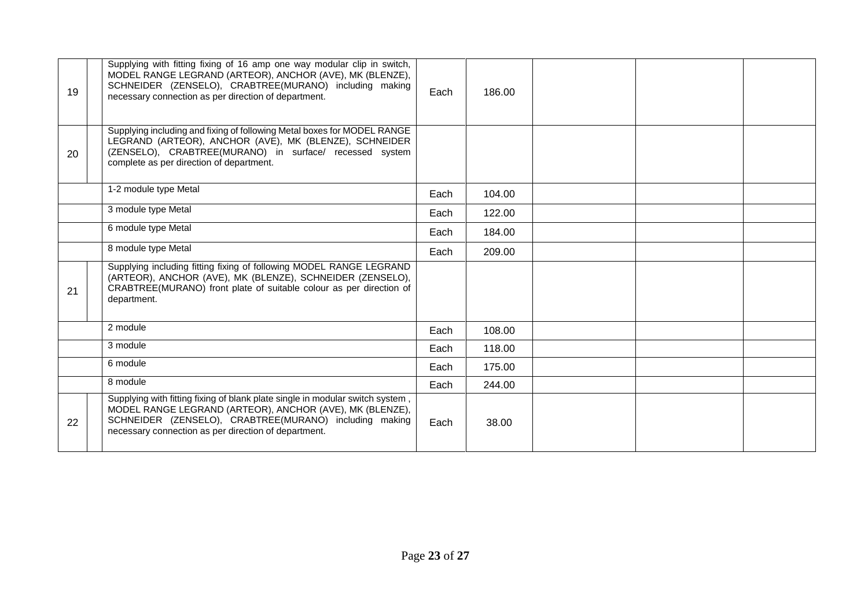| 19 | Supplying with fitting fixing of 16 amp one way modular clip in switch,<br>MODEL RANGE LEGRAND (ARTEOR), ANCHOR (AVE), MK (BLENZE),<br>SCHNEIDER (ZENSELO), CRABTREE(MURANO) including making<br>necessary connection as per direction of department.       | Each | 186.00 |  |
|----|-------------------------------------------------------------------------------------------------------------------------------------------------------------------------------------------------------------------------------------------------------------|------|--------|--|
| 20 | Supplying including and fixing of following Metal boxes for MODEL RANGE<br>LEGRAND (ARTEOR), ANCHOR (AVE), MK (BLENZE), SCHNEIDER<br>(ZENSELO), CRABTREE(MURANO) in surface/ recessed system<br>complete as per direction of department.                    |      |        |  |
|    | 1-2 module type Metal                                                                                                                                                                                                                                       | Each | 104.00 |  |
|    | 3 module type Metal                                                                                                                                                                                                                                         | Each | 122.00 |  |
|    | 6 module type Metal                                                                                                                                                                                                                                         | Each | 184.00 |  |
|    | 8 module type Metal                                                                                                                                                                                                                                         | Each | 209.00 |  |
| 21 | Supplying including fitting fixing of following MODEL RANGE LEGRAND<br>(ARTEOR), ANCHOR (AVE), MK (BLENZE), SCHNEIDER (ZENSELO),<br>CRABTREE(MURANO) front plate of suitable colour as per direction of<br>department.                                      |      |        |  |
|    | 2 module                                                                                                                                                                                                                                                    | Each | 108.00 |  |
|    | 3 module                                                                                                                                                                                                                                                    | Each | 118.00 |  |
|    | 6 module                                                                                                                                                                                                                                                    | Each | 175.00 |  |
|    | 8 module                                                                                                                                                                                                                                                    | Each | 244.00 |  |
| 22 | Supplying with fitting fixing of blank plate single in modular switch system,<br>MODEL RANGE LEGRAND (ARTEOR), ANCHOR (AVE), MK (BLENZE),<br>SCHNEIDER (ZENSELO), CRABTREE(MURANO) including making<br>necessary connection as per direction of department. | Each | 38.00  |  |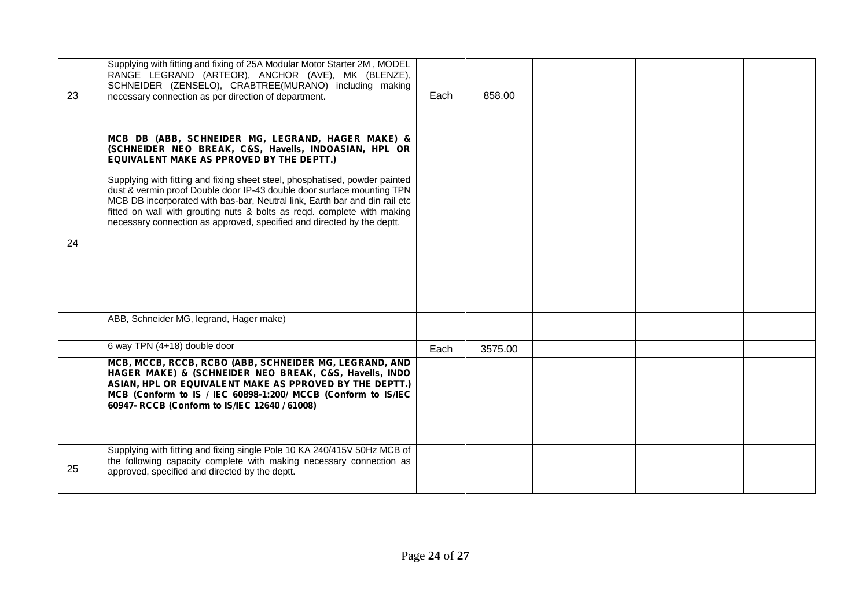| 23 | Supplying with fitting and fixing of 25A Modular Motor Starter 2M, MODEL<br>RANGE LEGRAND (ARTEOR), ANCHOR (AVE), MK (BLENZE),<br>SCHNEIDER (ZENSELO), CRABTREE(MURANO) including making<br>necessary connection as per direction of department.                                                                                                                                         | Each | 858.00  |  |
|----|------------------------------------------------------------------------------------------------------------------------------------------------------------------------------------------------------------------------------------------------------------------------------------------------------------------------------------------------------------------------------------------|------|---------|--|
|    | MCB DB (ABB, SCHNEIDER MG, LEGRAND, HAGER MAKE) &<br>(SCHNEIDER NEO BREAK, C&S, Havells, INDOASIAN, HPL OR<br>EQUIVALENT MAKE AS PPROVED BY THE DEPTT.)                                                                                                                                                                                                                                  |      |         |  |
| 24 | Supplying with fitting and fixing sheet steel, phosphatised, powder painted<br>dust & vermin proof Double door IP-43 double door surface mounting TPN<br>MCB DB incorporated with bas-bar, Neutral link, Earth bar and din rail etc<br>fitted on wall with grouting nuts & bolts as reqd. complete with making<br>necessary connection as approved, specified and directed by the deptt. |      |         |  |
|    | ABB, Schneider MG, legrand, Hager make)                                                                                                                                                                                                                                                                                                                                                  |      |         |  |
|    | 6 way TPN (4+18) double door                                                                                                                                                                                                                                                                                                                                                             | Each | 3575.00 |  |
|    | MCB, MCCB, RCCB, RCBO (ABB, SCHNEIDER MG, LEGRAND, AND<br>HAGER MAKE) & (SCHNEIDER NEO BREAK, C&S, Havells, INDO<br>ASIAN, HPL OR EQUIVALENT MAKE AS PPROVED BY THE DEPTT.)<br>MCB (Conform to IS / IEC 60898-1:200/ MCCB (Conform to IS/IEC<br>60947- RCCB (Conform to IS/IEC 12640 / 61008)                                                                                            |      |         |  |
| 25 | Supplying with fitting and fixing single Pole 10 KA 240/415V 50Hz MCB of<br>the following capacity complete with making necessary connection as<br>approved, specified and directed by the deptt.                                                                                                                                                                                        |      |         |  |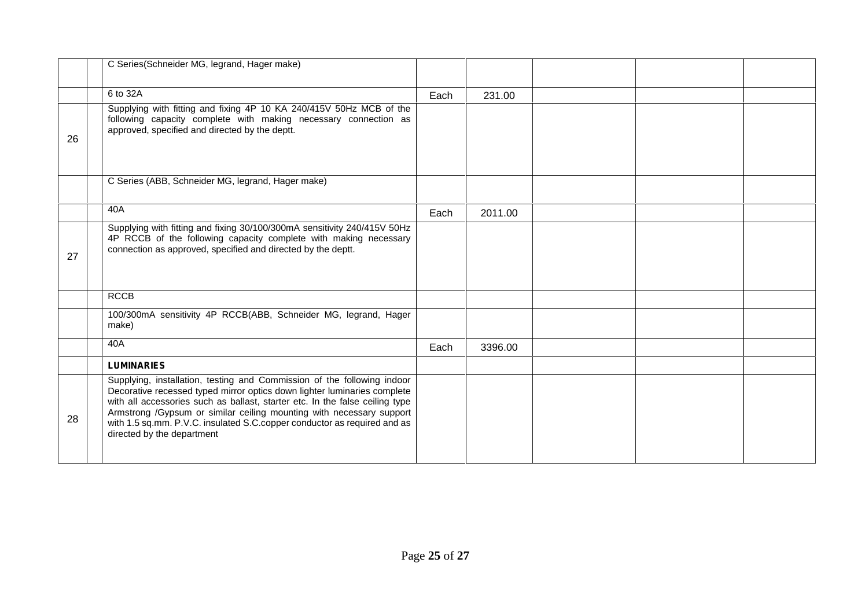|    | C Series(Schneider MG, legrand, Hager make)                                                                                                                                                                                                                                                                                                                                                                           |      |         |  |
|----|-----------------------------------------------------------------------------------------------------------------------------------------------------------------------------------------------------------------------------------------------------------------------------------------------------------------------------------------------------------------------------------------------------------------------|------|---------|--|
|    | 6 to 32A                                                                                                                                                                                                                                                                                                                                                                                                              | Each | 231.00  |  |
| 26 | Supplying with fitting and fixing 4P 10 KA 240/415V 50Hz MCB of the<br>following capacity complete with making necessary connection as<br>approved, specified and directed by the deptt.                                                                                                                                                                                                                              |      |         |  |
|    | C Series (ABB, Schneider MG, legrand, Hager make)                                                                                                                                                                                                                                                                                                                                                                     |      |         |  |
|    | 40A                                                                                                                                                                                                                                                                                                                                                                                                                   | Each | 2011.00 |  |
| 27 | Supplying with fitting and fixing 30/100/300mA sensitivity 240/415V 50Hz<br>4P RCCB of the following capacity complete with making necessary<br>connection as approved, specified and directed by the deptt.                                                                                                                                                                                                          |      |         |  |
|    | <b>RCCB</b>                                                                                                                                                                                                                                                                                                                                                                                                           |      |         |  |
|    | 100/300mA sensitivity 4P RCCB(ABB, Schneider MG, legrand, Hager<br>make)                                                                                                                                                                                                                                                                                                                                              |      |         |  |
|    | 40A                                                                                                                                                                                                                                                                                                                                                                                                                   | Each | 3396.00 |  |
|    | <b>LUMINARIES</b>                                                                                                                                                                                                                                                                                                                                                                                                     |      |         |  |
| 28 | Supplying, installation, testing and Commission of the following indoor<br>Decorative recessed typed mirror optics down lighter luminaries complete<br>with all accessories such as ballast, starter etc. In the false ceiling type<br>Armstrong /Gypsum or similar ceiling mounting with necessary support<br>with 1.5 sq.mm. P.V.C. insulated S.C.copper conductor as required and as<br>directed by the department |      |         |  |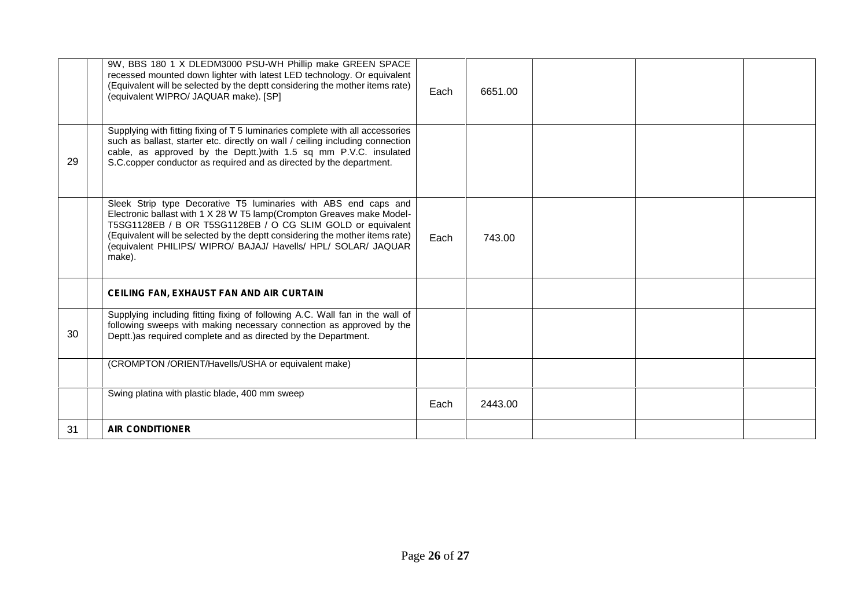|    | 9W, BBS 180 1 X DLEDM3000 PSU-WH Phillip make GREEN SPACE<br>recessed mounted down lighter with latest LED technology. Or equivalent<br>(Equivalent will be selected by the deptt considering the mother items rate)<br>(equivalent WIPRO/ JAQUAR make). [SP]                                                                                                       | Each | 6651.00 |  |
|----|---------------------------------------------------------------------------------------------------------------------------------------------------------------------------------------------------------------------------------------------------------------------------------------------------------------------------------------------------------------------|------|---------|--|
| 29 | Supplying with fitting fixing of T 5 luminaries complete with all accessories<br>such as ballast, starter etc. directly on wall / ceiling including connection<br>cable, as approved by the Deptt.) with 1.5 sq mm P.V.C. insulated<br>S.C.copper conductor as required and as directed by the department.                                                          |      |         |  |
|    | Sleek Strip type Decorative T5 luminaries with ABS end caps and<br>Electronic ballast with 1 X 28 W T5 lamp(Crompton Greaves make Model-<br>T5SG1128EB / B OR T5SG1128EB / O CG SLIM GOLD or equivalent<br>(Equivalent will be selected by the deptt considering the mother items rate)<br>(equivalent PHILIPS/ WIPRO/ BAJAJ/ Havells/ HPL/ SOLAR/ JAQUAR<br>make). | Each | 743.00  |  |
|    | <b>CEILING FAN, EXHAUST FAN AND AIR CURTAIN</b>                                                                                                                                                                                                                                                                                                                     |      |         |  |
| 30 | Supplying including fitting fixing of following A.C. Wall fan in the wall of<br>following sweeps with making necessary connection as approved by the<br>Deptt.) as required complete and as directed by the Department.                                                                                                                                             |      |         |  |
|    | (CROMPTON /ORIENT/Havells/USHA or equivalent make)                                                                                                                                                                                                                                                                                                                  |      |         |  |
|    | Swing platina with plastic blade, 400 mm sweep                                                                                                                                                                                                                                                                                                                      | Each | 2443.00 |  |
| 31 | <b>AIR CONDITIONER</b>                                                                                                                                                                                                                                                                                                                                              |      |         |  |